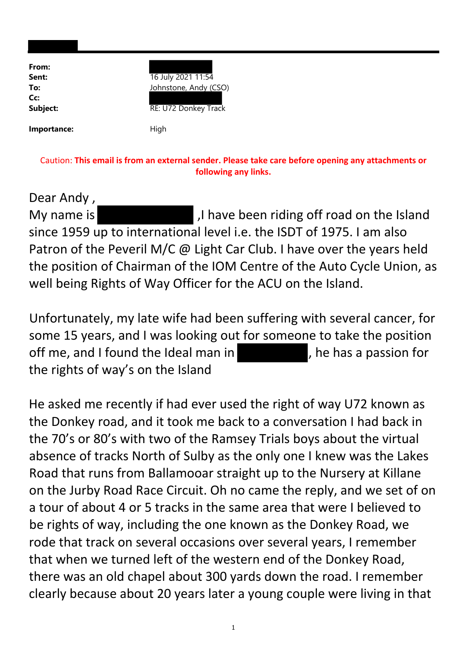| From:<br>Sent:<br>To:<br>Cc:<br>Subject: | 16 July 2021 11:54<br>Johnstone, Andy (CSO)<br>RE: U72 Donkey Track |
|------------------------------------------|---------------------------------------------------------------------|
| Importance:                              | High                                                                |

Caution: **This email is from an external sender. Please take care before opening any attachments or following any links.**

Dear Andy , My name is **Mullet and Island**, I have been riding off road on the Island since 1959 up to international level i.e. the ISDT of 1975. I am also Patron of the Peveril M/C @ Light Car Club. I have over the years held the position of Chairman of the IOM Centre of the Auto Cycle Union, as well being Rights of Way Officer for the ACU on the Island.

Unfortunately, my late wife had been suffering with several cancer, for some 15 years, and I was looking out for someone to take the position off me, and I found the Ideal man in , he has a passion for the rights of way's on the Island

He asked me recently if had ever used the right of way U72 known as the Donkey road, and it took me back to a conversation I had back in the 70's or 80's with two of the Ramsey Trials boys about the virtual absence of tracks North of Sulby as the only one I knew was the Lakes Road that runs from Ballamooar straight up to the Nursery at Killane on the Jurby Road Race Circuit. Oh no came the reply, and we set of on a tour of about 4 or 5 tracks in the same area that were I believed to be rights of way, including the one known as the Donkey Road, we rode that track on several occasions over several years, I remember that when we turned left of the western end of the Donkey Road, there was an old chapel about 300 yards down the road. I remember clearly because about 20 years later a young couple were living in that